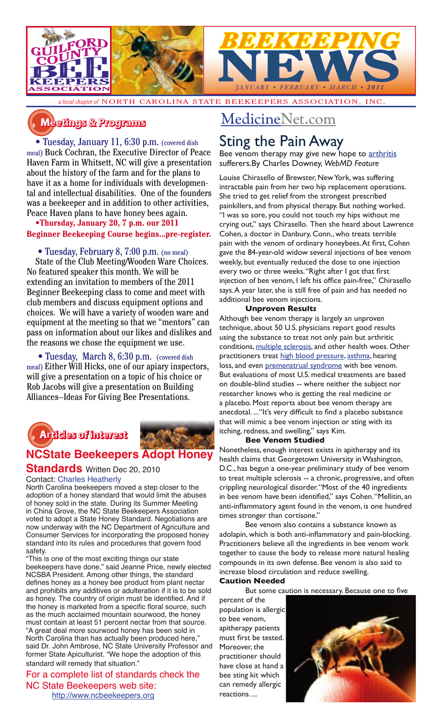

*a local chapter of* NORTH CAROLINA STATE BEEKEEPERS ASSOCIATION, INC.

## **�������� � ��������**

• Tuesday, January 11, 6:30 p.m. (covered dish meal) Buck Cochran, the Executive Director of Peace Haven Farm in Whitsett, NC will give a presentation about the history of the farm and for the plans to have it as a home for individuals with developmental and intellectual disabilities. One of the founders was a beekeeper and in addition to other activities, Peace Haven plans to have honey bees again.

**•Thursday, January 20, 7 p.m. our 2011 Beginner Beekeeping Course begins...pre-register.**

## • Tuesday, February 8, 7:00 p.m. (no meal)

State of the Club Meeting/Wooden Ware Choices. No featured speaker this month. We will be extending an invitation to members of the 2011 Beginner Beekeeping class to come and meet with club members and discuss equipment options and choices. We will have a variety of wooden ware and equipment at the meeting so that we "mentors" can pass on information about our likes and dislikes and the reasons we chose the equipment we use.

• Tuesday, March 8, 6:30 p.m. (covered dish meal) Either Will Hicks, one of our apiary inspectors, will give a presentation on a topic of his choice or Rob Jacobs will give a presentation on Building Alliances--Ideas For Giving Bee Presentations.



## **NCState Beekeepers Adopt Honey**

#### **Standards** Written Dec 20, 2010 Contact: Charles Heatherly

North Carolina beekeepers moved a step closer to the adoption of a honey standard that would limit the abuses of honey sold in the state. During its Summer Meeting in China Grove, the NC State Beekeepers Association voted to adopt a State Honey Standard. Negotiations are now underway with the NC Department of Agriculture and Consumer Services for incorporating the proposed honey standard into its rules and procedures that govern food safety.

"This is one of the most exciting things our state beekeepers have done," said Jeanne Price, newly elected NCSBA President. Among other things, the standard defines honey as a honey bee product from plant nectar and prohibits any additives or adulteration if it is to be sold as honey. The country of origin must be identified. And if the honey is marketed from a specific floral source, such as the much acclaimed mountain sourwood, the honey must contain at least 51 percent nectar from that source. "A great deal more sourwood honey has been sold in North Carolina than has actually been produced here," said Dr. John Ambrose, NC State University Professor and former State Apiculturist. "We hope the adoption of this standard will remedy that situation."

For a complete list of standards check the NC State Beekeepers web site: http://www.ncbeekeepers.org

## MedicineNet.com

## Sting the Pain Away

Bee venom therapy may give new hope to arthritis sufferers.By Charles Downey, *WebMD Feature*

Louise Chirasello of Brewster, New York, was suffering intractable pain from her two hip replacement operations. She tried to get relief from the strongest prescribed painkillers, and from physical therapy. But nothing worked. "I was so sore, you could not touch my hips without me crying out," says Chirasello. Then she heard about Lawrence Cohen, a doctor in Danbury, Conn., who treats terrible pain with the venom of ordinary honeybees. At first, Cohen gave the 84-year-old widow several injections of bee venom weekly, but eventually reduced the dose to one injection every two or three weeks. "Right after I got that first injection of bee venom, I left his office pain-free," Chirasello says. A year later, she is still free of pain and has needed no additional bee venom injections.

## **Unproven Result***s*

Although bee venom therapy is largely an unproven technique, about 50 U.S. physicians report good results using the substance to treat not only pain but arthritic conditions, multiple sclerosis, and other health woes. Other practitioners treat high blood pressure, asthma, hearing loss, and even premenstrual syndrome with bee venom. But evaluations of most U.S. medical treatments are based on double-blind studies -- where neither the subject nor researcher knows who is getting the real medicine or a placebo. Most reports about bee venom therapy are anecdotal. ... "It's very difficult to find a placebo substance that will mimic a bee venom injection or sting with its itching, redness, and swelling," says Kim.

#### **Bee Venom Studied**

Nonetheless, enough interest exists in apitherapy and its health claims that Georgetown University in Washington, D.C., has begun a one-year preliminary study of bee venom to treat multiple sclerosis -- a chronic, progressive, and often crippling neurological disorder. "Most of the 40 ingredients in bee venom have been identified," says Cohen. "Mellitin, an anti-inflammatory agent found in the venom, is one hundred times stronger than cortisone."

Bee venom also contains a substance known as adolapin, which is both anti-inflammatory and pain-blocking. Practitioners believe all the ingredients in bee venom work together to cause the body to release more natural healing compounds in its own defense. Bee venom is also said to increase blood circulation and reduce swelling.

#### **Caution Needed**

But some caution is necessary. Because one to five

percent of the population is allergic to bee venom, apitherapy patients must first be tested. Moreover, the practitioner should have close at hand a bee sting kit which can remedy allergic reactions. ...

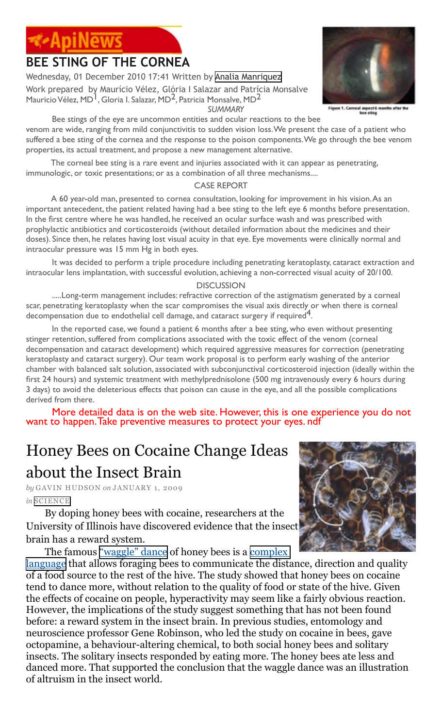# **BEE STING OF THE CORNEA**

Wednesday, 01 December 2010 17:41 Written by [Analia Manriquez](http://www.apinews.com/en/component/k2/itemlist/user/64-analiamanriquez)

Work prepared by Maurício Vélez, Glória I Salazar and Patrícia Monsalve Mauricio Vélez, MD<sup>1</sup>, Gloria I. Salazar, MD<sup>2</sup>, Patricia Monsalve, MD<sup>2</sup>  *SUMMARY*

#### Bee stings of the eye are uncommon entities and ocular reactions to the bee

venom are wide, ranging from mild conjunctivitis to sudden vision loss. We present the case of a patient who suffered a bee sting of the cornea and the response to the poison components. We go through the bee venom properties, its actual treatment, and propose a new management alternative.

The corneal bee sting is a rare event and injuries associated with it can appear as penetrating, immunologic, or toxic presentations; or as a combination of all three mechanisms....

## CASE REPORT

A 60 year-old man, presented to cornea consultation, looking for improvement in his vision. As an important antecedent, the patient related having had a bee sting to the left eye 6 months before presentation. In the first centre where he was handled, he received an ocular surface wash and was prescribed with prophylactic antibiotics and corticosteroids (without detailed information about the medicines and their doses). Since then, he relates having lost visual acuity in that eye. Eye movements were clinically normal and intraocular pressure was 15 mm Hg in both eyes.

It was decided to perform a triple procedure including penetrating keratoplasty, cataract extraction and intraocular lens implantation, with successful evolution, achieving a non-corrected visual acuity of 20/100.

#### **DISCUSSION**

.....Long-term management includes: refractive correction of the astigmatism generated by a corneal scar, penetrating keratoplasty when the scar compromises the visual axis directly or when there is corneal decompensation due to endothelial cell damage, and cataract surgery if required<sup>4</sup>.

In the reported case, we found a patient 6 months after a bee sting, who even without presenting stinger retention, suffered from complications associated with the toxic effect of the venom (corneal decompensation and cataract development) which required aggressive measures for correction (penetrating keratoplasty and cataract surgery). Our team work proposal is to perform early washing of the anterior chamber with balanced salt solution, associated with subconjunctival corticosteroid injection (ideally within the first 24 hours) and systemic treatment with methylprednisolone (500 mg intravenously every 6 hours during 3 days) to avoid the deleterious effects that poison can cause in the eye, and all the possible complications derived from there.

More detailed data is on the web site. However, this is one experience you do not want to happen. Take preventive measures to protect your eyes. ndf

# Honey Bees on Cocaine Change Ideas about the Insect Brain

*by* GAVIN HUDSON *on* JANUARY 1, 2009 *in* [SCIENCE](http://blog.sustainablog.org/science/)

By doping honey bees with cocaine, researchers at the University of Illinois have discovered evidence that the insect brain has a reward system.

The famous <u>"waggle" dance</u> of honey bees is a <u>complex</u>

[language](http://www.plosone.org/article/info%3Adoi%2F10.1371%2Fjournal.pone.0002365) that allows foraging bees to communicate the distance, direction and quality of a food source to the rest of the hive. The study showed that honey bees on cocaine tend to dance more, without relation to the quality of food or state of the hive. Given the effects of cocaine on people, hyperactivity may seem like a fairly obvious reaction. However, the implications of the study suggest something that has not been found before: a reward system in the insect brain. In previous studies, entomology and neuroscience professor Gene Robinson, who led the study on cocaine in bees, gave octopamine, a behaviour-altering chemical, to both social honey bees and solitary insects. The solitary insects responded by eating more. The honey bees ate less and danced more. That supported the conclusion that the waggle dance was an illustration of altruism in the insect world.



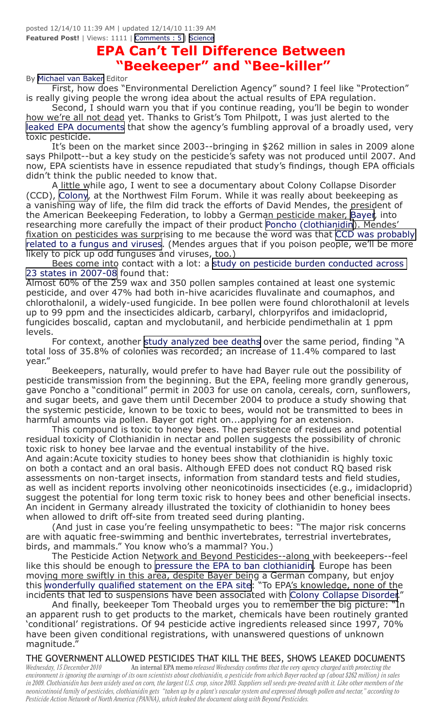posted 12/14/10 11:39 AM | updated 12/14/10 11:39 AM **Featured Post!** | Views: 1111 | [Comments : 5 |](http://thesunbreak.com/2010/12/14/epa-cant-tell-difference-between-beekeeper-and-bee-killer#comments) [Science](http://thesunbreak.com/science)

## **EPA Can't Tell Difference Between "Beekeeper" and "Bee-killer"**

#### By [Michael van Baker](http://thesunbreak.com/user?username=Michael+van+Baker) Editor

First, how does "Environmental Dereliction Agency" sound? I feel like "Protection" is really giving people the wrong idea about the actual results of EPA regulation.

Second, I should warn you that if you continue reading, you'll be begin to wonder how we're all not dead yet. Thanks to Grist's Tom Philpott, I was just alerted to the [leaked EPA documents](http://www.grist.org/article/food-2010-12-10-leaked-documents-show-epa-allowed-bee-toxic-pesticide-) that show the agency's fumbling approval of a broadly used, very toxic pesticide.

It's been on the market since 2003--bringing in \$262 million in sales in 2009 alone says Philpott--but a key study on the pesticide's safety was not produced until 2007. And now, EPA scientists have in essence repudiated that study's findings, though EPA officials didn't think the public needed to know that.

A little while ago, I went to see a documentary about Colony Collapse Disorder (CCD), [Colony](http://www.suite101.com/content/idfa-documentary-explores-colony-collapse-disord-a183409), at the Northwest Film Forum. While it was really about beekeeping as a vanishing way of life, the film did track the efforts of David Mendes, the president of the American Beekeeping Federation, to lobby a German pesticide maker, [Bayer](http://www.bayer.com/), into researching more carefully the impact of their product [Poncho \(clothianidin](http://www.bayercropscience.com/bcsweb/cropprotection.nsf/id/clothianidin_se.htm?open&l=en&ccm=200020)). Mendes' fixation on pesticides was surprising to me because the word was that [CCD was probably](http://gmo-journal.com/index.php/2010/06/01/latest-usda-research-on-colony-collapse-disorder/)  [related to a fungus and viruses](http://gmo-journal.com/index.php/2010/06/01/latest-usda-research-on-colony-collapse-disorder/). (Mendes argues that if you poison people, we'll be more likely to pick up odd funguses and viruses, too.)

Bees come into contact with a lot: a [study on pesticide burden conducted across](http://www.plosone.org/article/info:doi/10.1371/journal.pone.0009754)  [23 states in 2007-08](http://www.plosone.org/article/info:doi/10.1371/journal.pone.0009754) found that:

Almost 60% of the 259 wax and 350 pollen samples contained at least one systemic pesticide, and over 47% had both in-hive acaricides fluvalinate and coumaphos, and chlorothalonil, a widely-used fungicide. In bee pollen were found chlorothalonil at levels up to 99 ppm and the insecticides aldicarb, carbaryl, chlorpyrifos and imidacloprid, fungicides boscalid, captan and myclobutanil, and herbicide pendimethalin at 1 ppm levels.

For context, another [study analyzed bee deaths](http://www.plosone.org/article/info:doi/10.1371/journal.pone.0004071) over the same period, finding "A total loss of 35.8% of colonies was recorded; an increase of 11.4% compared to last year."

Beekeepers, naturally, would prefer to have had Bayer rule out the possibility of pesticide transmission from the beginning. But the EPA, feeling more grandly generous, gave Poncho a "conditional" permit in 2003 for use on canola, cereals, corn, sunflowers, and sugar beets, and gave them until December 2004 to produce a study showing that the systemic pesticide, known to be toxic to bees, would not be transmitted to bees in harmful amounts via pollen. Bayer got right on...applying for an extension.

This compound is toxic to honey bees. The persistence of residues and potential residual toxicity of Clothianidin in nectar and pollen suggests the possibility of chronic toxic risk to honey bee larvae and the eventual instability of the hive.

And again:Acute toxicity studies to honey bees show that clothianidin is highly toxic on both a contact and an oral basis. Although EFED does not conduct RQ based risk assessments on non-target insects, information from standard tests and field studies, as well as incident reports involving other neonicotinoids insecticides (e.g., imidacloprid) suggest the potential for long term toxic risk to honey bees and other beneficial insects. An incident in Germany already illustrated the toxicity of clothianidin to honey bees when allowed to drift off-site from treated seed during planting.

(And just in case you're feeling unsympathetic to bees: "The major risk concerns are with aquatic free-swimming and benthic invertebrates, terrestrial invertebrates, birds, and mammals." You know who's a mammal? You.)

The Pesticide Action Network and Beyond Pesticides--along with beekeepers--feel like this should be enough to [pressure the EPA to ban clothianidin](http://www.panna.org/blog/beekeepers-call-immediate-ban-ccd-linked-pesticide). Europe has been moving more swiftly in this area, despite Bayer being a German company, but enjoy this [wonderfully qualified statement on the EPA site](http://www.epa.gov/opp00001/about/intheworks/ccd-european-ban.html): "To EPA's knowledge, none of the incidents that led to suspensions have been associated with [Colony Collapse Disorder](http://www.epa.gov/opp00001/about/intheworks/honeybee.htm)."

And finally, beekeeper Tom Theobald urges you to remember the big picture: "In an apparent rush to get products to the market, chemicals have been routinely granted 'conditional' registrations. Of 94 pesticide active ingredients released since 1997, 70% have been given conditional registrations, with unanswered questions of unknown magnitude."

THE GOVERNMENT ALLOWED PESTICIDES THAT KILL THE BEES, SHOWS LEAKED DOCUMENTS<br>Wednesday, 15 December 2010 han internal EPA memo released Wednesday confirms that the very agency charged with protecting the *Wednesday, 15 December 2010* An internal EPA memo *released Wednesday confirms that the very agency charged with protecting the environment is ignoring the warnings of its own scientists about clothianidin, a pesticide from which Bayer racked up (about \$262 million) in sales in 2009. Clothianidin has been widely used on corn, the largest U.S. crop, since 2003. Suppliers sell seeds pre-treated with it. Like other members of the neonicotinoid family of pesticides, clothianidin gets "taken up by a plant's vascular system and expressed through pollen and nectar," according to Pesticide Action Network of North America (PANNA), which leaked the document along with Beyond Pesticides.*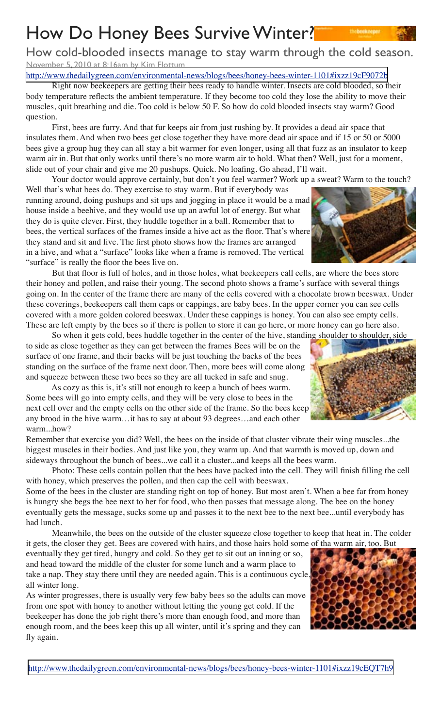# How Do Honey Bees Survive Winter?

How cold-blooded insects manage to stay warm through the cold season. November 5, 2010 at 8:16am by Kim Flottum

<http://www.thedailygreen.com/environmental-news/blogs/bees/honey-bees-winter-1101#ixzz19cF9072b>

Right now beekeepers are getting their bees ready to handle winter. Insects are cold blooded, so their body temperature reflects the ambient temperature. If they become too cold they lose the ability to move their muscles, quit breathing and die. Too cold is below 50 F. So how do cold blooded insects stay warm? Good question.

First, bees are furry. And that fur keeps air from just rushing by. It provides a dead air space that insulates them. And when two bees get close together they have more dead air space and if 15 or 50 or 5000 bees give a group hug they can all stay a bit warmer for even longer, using all that fuzz as an insulator to keep warm air in. But that only works until there's no more warm air to hold. What then? Well, just for a moment, slide out of your chair and give me 20 pushups. Quick. No loafing. Go ahead, I'll wait.

Your doctor would approve certainly, but don't you feel warmer? Work up a sweat? Warm to the touch?

Well that's what bees do. They exercise to stay warm. But if everybody was running around, doing pushups and sit ups and jogging in place it would be a mad house inside a beehive, and they would use up an awful lot of energy. But what they do is quite clever. First, they huddle together in a ball. Remember that to bees, the vertical surfaces of the frames inside a hive act as the floor. That's where they stand and sit and live. The first photo shows how the frames are arranged in a hive, and what a "surface" looks like when a frame is removed. The vertical "surface" is really the floor the bees live on.

But that floor is full of holes, and in those holes, what beekeepers call cells, are where the bees store their honey and pollen, and raise their young. The second photo shows a frame's surface with several things going on. In the center of the frame there are many of the cells covered with a chocolate brown beeswax. Under these coverings, beekeepers call them caps or cappings, are baby bees. In the upper corner you can see cells covered with a more golden colored beeswax. Under these cappings is honey. You can also see empty cells. These are left empty by the bees so if there is pollen to store it can go here, or more honey can go here also.

So when it gets cold, bees huddle together in the center of the hive, standing shoulder to shoulder, side to side as close together as they can get between the frames Bees will be on the surface of one frame, and their backs will be just touching the backs of the bees standing on the surface of the frame next door. Then, more bees will come along and squeeze between these two bees so they are all tucked in safe and snug.

As cozy as this is, it's still not enough to keep a bunch of bees warm. Some bees will go into empty cells, and they will be very close to bees in the next cell over and the empty cells on the other side of the frame. So the bees keep any brood in the hive warm…it has to say at about 93 degrees…and each other warm...how?

Remember that exercise you did? Well, the bees on the inside of that cluster vibrate their wing muscles...the biggest muscles in their bodies. And just like you, they warm up. And that warmth is moved up, down and sideways throughout the bunch of bees...we call it a cluster...and keeps all the bees warm.

Photo: These cells contain pollen that the bees have packed into the cell. They will finish filling the cell with honey, which preserves the pollen, and then cap the cell with beeswax.

Some of the bees in the cluster are standing right on top of honey. But most aren't. When a bee far from honey is hungry she begs the bee next to her for food, who then passes that message along. The bee on the honey eventually gets the message, sucks some up and passes it to the next bee to the next bee...until everybody has had lunch.

Meanwhile, the bees on the outside of the cluster squeeze close together to keep that heat in. The colder it gets, the closer they get. Bees are covered with hairs, and those hairs hold some of tha warm air, too. But

eventually they get tired, hungry and cold. So they get to sit out an inning or so, and head toward the middle of the cluster for some lunch and a warm place to take a nap. They stay there until they are needed again. This is a continuous cycle, all winter long.

As winter progresses, there is usually very few baby bees so the adults can move from one spot with honey to another without letting the young get cold. If the beekeeper has done the job right there's more than enough food, and more than enough room, and the bees keep this up all winter, until it's spring and they can fly again.

<http://www.thedailygreen.com/environmental-news/blogs/bees/honey-bees-winter-1101#ixzz19cEQT7h9>







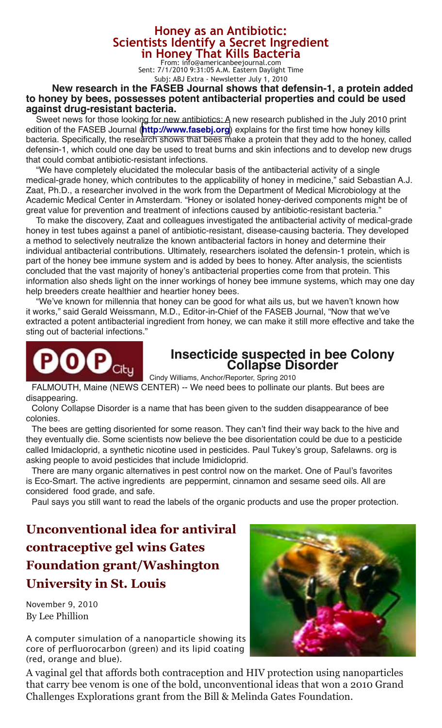# **Honey as an Antibiotic:<br><b>Scientists Identify a Secret Ingredient**<br>**in Honey That Kills Bacteria**<br>From: info@americanbeejournal.com

Sent: 7/1/2010 9:31:05 A.M. Eastern Daylight Time Subj: ABJ Extra - Newsletter July 1, 2010

## **New research in the FASEB Journal shows that defensin-1, a protein added to honey by bees, possesses potent antibacterial properties and could be used against drug-resistant bacteria.**

Sweet news for those looking for new antibiotics: A new research published in the July 2010 print edition of the FASEB Journal (**[http://www.fasebj.org](http://americanbeejournal.us1.list-manage.com/track/click?u=5fd2b1aa990e63193af2a573d&id=463684df40&e=15fb405077)**) explains for the first time how honey kills bacteria. Specifically, the research shows that bees make a protein that they add to the honey, called defensin-1, which could one day be used to treat burns and skin infections and to develop new drugs that could combat antibiotic-resistant infections.

"We have completely elucidated the molecular basis of the antibacterial activity of a single medical-grade honey, which contributes to the applicability of honey in medicine," said Sebastian A.J. Zaat, Ph.D., a researcher involved in the work from the Department of Medical Microbiology at the Academic Medical Center in Amsterdam. "Honey or isolated honey-derived components might be of great value for prevention and treatment of infections caused by antibiotic-resistant bacteria."

To make the discovery, Zaat and colleagues investigated the antibacterial activity of medical-grade honey in test tubes against a panel of antibiotic-resistant, disease-causing bacteria. They developed a method to selectively neutralize the known antibacterial factors in honey and determine their individual antibacterial contributions. Ultimately, researchers isolated the defensin-1 protein, which is part of the honey bee immune system and is added by bees to honey. After analysis, the scientists concluded that the vast majority of honey's antibacterial properties come from that protein. This information also sheds light on the inner workings of honey bee immune systems, which may one day help breeders create healthier and heartier honey bees.

"We've known for millennia that honey can be good for what ails us, but we haven't known how it works," said Gerald Weissmann, M.D., Editor-in-Chief of the FASEB Journal, "Now that we've extracted a potent antibacterial ingredient from honey, we can make it still more effective and take the sting out of bacterial infections."



# **Insecticide suspected in bee Colony Collapse Disorder**

Cindy Williams, Anchor/Reporter, Spring 2010 FALMOUTH, Maine (NEWS CENTER) -- We need bees to pollinate our plants. But bees are

disappearing.

Colony Collapse Disorder is a name that has been given to the sudden disappearance of bee colonies.

The bees are getting disoriented for some reason. They can't find their way back to the hive and they eventually die. Some scientists now believe the bee disorientation could be due to a pesticide called Imidacloprid, a synthetic nicotine used in pesticides. Paul Tukey's group, Safelawns. org is asking people to avoid pesticides that include Imidicloprid.

There are many organic alternatives in pest control now on the market. One of Paul's favorites is Eco-Smart. The active ingredients are peppermint, cinnamon and sesame seed oils. All are considered food grade, and safe.

Paul says you still want to read the labels of the organic products and use the proper protection.

**Unconventional idea for antiviral contraceptive gel wins Gates Foundation grant/Washington University in St. Louis**

November 9, 2010 By Lee Phillion

A computer simulation of a nanoparticle showing its core of perfluorocarbon (green) and its lipid coating (red, orange and blue).

A vaginal gel that affords both contraception and HIV protection using nanoparticles that carry bee venom is one of the bold, unconventional ideas that won a 2010 Grand Challenges Explorations grant from the Bill & Melinda Gates Foundation.